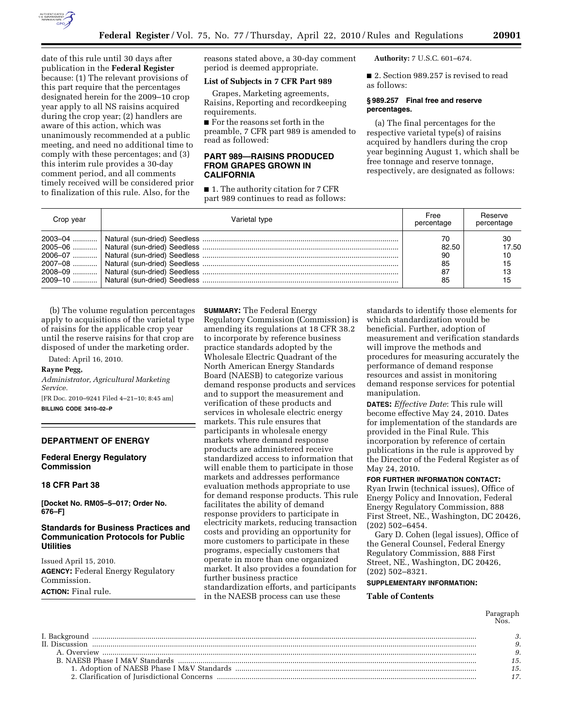

date of this rule until 30 days after publication in the **Federal Register**  because: (1) The relevant provisions of this part require that the percentages designated herein for the 2009–10 crop year apply to all NS raisins acquired during the crop year; (2) handlers are aware of this action, which was unanimously recommended at a public meeting, and need no additional time to comply with these percentages; and (3) this interim rule provides a 30-day comment period, and all comments timely received will be considered prior to finalization of this rule. Also, for the

reasons stated above, a 30-day comment period is deemed appropriate.

## **List of Subjects in 7 CFR Part 989**

Grapes, Marketing agreements, Raisins, Reporting and recordkeeping requirements.

■ For the reasons set forth in the preamble, 7 CFR part 989 is amended to read as followed:

# **PART 989—RAISINS PRODUCED FROM GRAPES GROWN IN CALIFORNIA**

■ 1. The authority citation for 7 CFR part 989 continues to read as follows: **Authority:** 7 U.S.C. 601–674.

■ 2. Section 989.257 is revised to read as follows:

### **§ 989.257 Final free and reserve percentages.**

(a) The final percentages for the respective varietal type(s) of raisins acquired by handlers during the crop year beginning August 1, which shall be free tonnage and reserve tonnage, respectively, are designated as follows:

| Crop year | Varietal type | Free<br>percentage             | Reserve<br>percentage         |
|-----------|---------------|--------------------------------|-------------------------------|
|           |               | 82.50<br>90<br>85<br>-87<br>85 | 30<br>17.50<br>10<br>15<br>15 |

(b) The volume regulation percentages apply to acquisitions of the varietal type of raisins for the applicable crop year until the reserve raisins for that crop are disposed of under the marketing order.

Dated: April 16, 2010.

# **Rayne Pegg,**

*Administrator, Agricultural Marketing Service.* 

[FR Doc. 2010–9241 Filed 4–21–10; 8:45 am] **BILLING CODE 3410–02–P** 

#### **DEPARTMENT OF ENERGY**

**Federal Energy Regulatory Commission** 

# **18 CFR Part 38**

**[Docket No. RM05–5–017; Order No. 676–F]** 

# **Standards for Business Practices and Communication Protocols for Public Utilities**

Issued April 15, 2010. **AGENCY:** Federal Energy Regulatory Commission. **ACTION:** Final rule.

**SUMMARY:** The Federal Energy Regulatory Commission (Commission) is amending its regulations at 18 CFR 38.2 to incorporate by reference business practice standards adopted by the Wholesale Electric Quadrant of the North American Energy Standards Board (NAESB) to categorize various demand response products and services and to support the measurement and verification of these products and services in wholesale electric energy markets. This rule ensures that participants in wholesale energy markets where demand response products are administered receive standardized access to information that will enable them to participate in those markets and addresses performance evaluation methods appropriate to use for demand response products. This rule facilitates the ability of demand response providers to participate in electricity markets, reducing transaction costs and providing an opportunity for more customers to participate in these programs, especially customers that operate in more than one organized market. It also provides a foundation for further business practice standardization efforts, and participants in the NAESB process can use these

standards to identify those elements for which standardization would be beneficial. Further, adoption of measurement and verification standards will improve the methods and procedures for measuring accurately the performance of demand response resources and assist in monitoring demand response services for potential manipulation.

**DATES:** *Effective Date*: This rule will become effective May 24, 2010. Dates for implementation of the standards are provided in the Final Rule. This incorporation by reference of certain publications in the rule is approved by the Director of the Federal Register as of May 24, 2010.

**FOR FURTHER INFORMATION CONTACT:** 

Ryan Irwin (technical issues), Office of Energy Policy and Innovation, Federal Energy Regulatory Commission, 888 First Street, NE., Washington, DC 20426, (202) 502–6454.

Gary D. Cohen (legal issues), Office of the General Counsel, Federal Energy Regulatory Commission, 888 First Street, NE., Washington, DC 20426, (202) 502–8321.

### **SUPPLEMENTARY INFORMATION:**

#### **Table of Contents**

Paragraph Nos.

| II. Discussion |  |
|----------------|--|
| A. Overview    |  |
|                |  |
|                |  |
|                |  |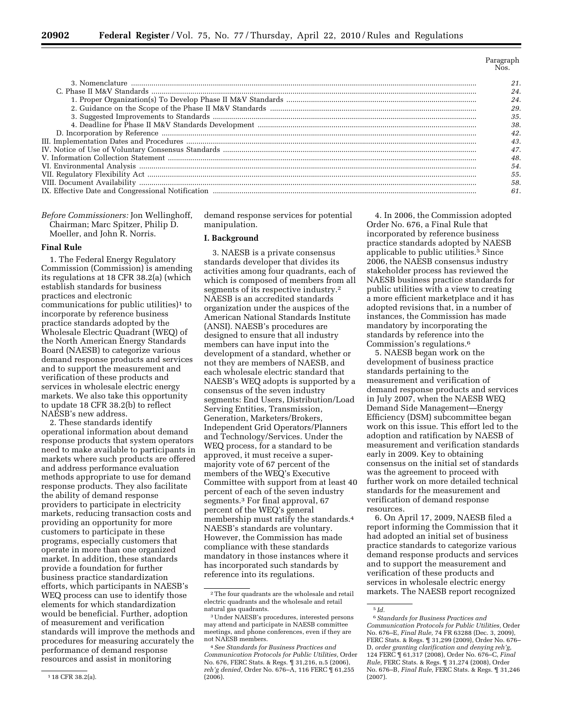| 24 |
|----|
| 24 |
| 29 |
| 35 |
| 38 |
|    |
|    |
|    |
|    |
| 54 |
| 55 |
| 58 |
| 61 |
|    |

| <i>Before Commissioners:</i> Jon Wellinghoff, |  |
|-----------------------------------------------|--|
| Chairman; Marc Spitzer, Philip D.             |  |
| Moeller, and John R. Norris.                  |  |

#### **Final Rule**

1. The Federal Energy Regulatory Commission (Commission) is amending its regulations at 18 CFR 38.2(a) (which establish standards for business practices and electronic communications for public utilities)1 to incorporate by reference business practice standards adopted by the Wholesale Electric Quadrant (WEQ) of the North American Energy Standards Board (NAESB) to categorize various demand response products and services and to support the measurement and verification of these products and services in wholesale electric energy markets. We also take this opportunity to update 18 CFR 38.2(b) to reflect NAESB's new address.

2. These standards identify operational information about demand response products that system operators need to make available to participants in markets where such products are offered and address performance evaluation methods appropriate to use for demand response products. They also facilitate the ability of demand response providers to participate in electricity markets, reducing transaction costs and providing an opportunity for more customers to participate in these programs, especially customers that operate in more than one organized market. In addition, these standards provide a foundation for further business practice standardization efforts, which participants in NAESB's WEQ process can use to identify those elements for which standardization would be beneficial. Further, adoption of measurement and verification standards will improve the methods and procedures for measuring accurately the performance of demand response resources and assist in monitoring

demand response services for potential manipulation.

#### **I. Background**

3. NAESB is a private consensus standards developer that divides its activities among four quadrants, each of which is composed of members from all segments of its respective industry.2 NAESB is an accredited standards organization under the auspices of the American National Standards Institute (ANSI). NAESB's procedures are designed to ensure that all industry members can have input into the development of a standard, whether or not they are members of NAESB, and each wholesale electric standard that NAESB's WEQ adopts is supported by a consensus of the seven industry segments: End Users, Distribution/Load Serving Entities, Transmission, Generation, Marketers/Brokers, Independent Grid Operators/Planners and Technology/Services. Under the WEQ process, for a standard to be approved, it must receive a supermajority vote of 67 percent of the members of the WEQ's Executive Committee with support from at least 40 percent of each of the seven industry segments.3 For final approval, 67 percent of the WEQ's general membership must ratify the standards.4 NAESB's standards are voluntary. However, the Commission has made compliance with these standards mandatory in those instances where it has incorporated such standards by reference into its regulations.

4. In 2006, the Commission adopted Order No. 676, a Final Rule that incorporated by reference business practice standards adopted by NAESB applicable to public utilities.<sup>5</sup> Since 2006, the NAESB consensus industry stakeholder process has reviewed the NAESB business practice standards for public utilities with a view to creating a more efficient marketplace and it has adopted revisions that, in a number of instances, the Commission has made mandatory by incorporating the standards by reference into the Commission's regulations.6

5. NAESB began work on the development of business practice standards pertaining to the measurement and verification of demand response products and services in July 2007, when the NAESB WEQ Demand Side Management—Energy Efficiency (DSM) subcommittee began work on this issue. This effort led to the adoption and ratification by NAESB of measurement and verification standards early in 2009. Key to obtaining consensus on the initial set of standards was the agreement to proceed with further work on more detailed technical standards for the measurement and verification of demand response resources.

6. On April 17, 2009, NAESB filed a report informing the Commission that it had adopted an initial set of business practice standards to categorize various demand response products and services and to support the measurement and verification of these products and services in wholesale electric energy markets. The NAESB report recognized

<sup>1</sup> 18 CFR 38.2(a).

<sup>2</sup>The four quadrants are the wholesale and retail electric quadrants and the wholesale and retail natural gas quadrants.

<sup>3</sup>Under NAESB's procedures, interested persons may attend and participate in NAESB committee meetings, and phone conferences, even if they are not NAESB members.

<sup>4</sup>*See Standards for Business Practices and Communication Protocols for Public Utilities,* Order No. 676, FERC Stats. & Regs. ¶ 31,216, n.5 (2006), *reh'g denied,* Order No. 676–A, 116 FERC ¶ 61,255 (2006).

<sup>5</sup> *Id.* 

<sup>6</sup>*Standards for Business Practices and Communication Protocols for Public Utilities,* Order No. 676–E, *Final Rule,* 74 FR 63288 (Dec. 3, 2009), FERC Stats. & Regs. ¶ 31,299 (2009), Order No. 676– D, *order granting clarification and denying reh'g,*  124 FERC ¶ 61,317 (2008), Order No. 676–C, *Final Rule,* FERC Stats. & Regs. ¶ 31,274 (2008), Order No. 676–B, *Final Rule,* FERC Stats. & Regs. ¶ 31,246 (2007).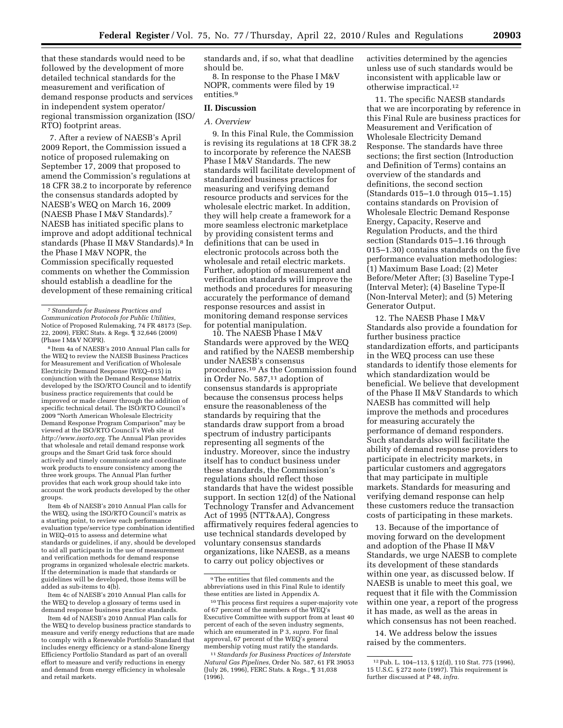that these standards would need to be followed by the development of more detailed technical standards for the measurement and verification of demand response products and services in independent system operator/ regional transmission organization (ISO/ RTO) footprint areas.

7. After a review of NAESB's April 2009 Report, the Commission issued a notice of proposed rulemaking on September 17, 2009 that proposed to amend the Commission's regulations at 18 CFR 38.2 to incorporate by reference the consensus standards adopted by NAESB's WEQ on March 16, 2009 (NAESB Phase I M&V Standards).7 NAESB has initiated specific plans to improve and adopt additional technical standards (Phase II M&V Standards).8 In the Phase I M&V NOPR, the Commission specifically requested comments on whether the Commission should establish a deadline for the development of these remaining critical

8 Item 4a of NAESB's 2010 Annual Plan calls for the WEQ to review the NAESB Business Practices for Measurement and Verification of Wholesale Electricity Demand Response (WEQ–015) in conjunction with the Demand Response Matrix developed by the ISO/RTO Council and to identify business practice requirements that could be improved or made clearer through the addition of specific technical detail. The ISO/RTO Council's 2009 ''North American Wholesale Electricity Demand Response Program Comparison'' may be viewed at the ISO/RTO Council's Web site at *http://www.isorto.org.* The Annual Plan provides that wholesale and retail demand response work groups and the Smart Grid task force should actively and timely communicate and coordinate work products to ensure consistency among the three work groups. The Annual Plan further provides that each work group should take into account the work products developed by the other groups.

Item 4b of NAESB's 2010 Annual Plan calls for the WEQ, using the ISO/RTO Council's matrix as a starting point, to review each performance evaluation type/service type combination identified in WEQ–015 to assess and determine what standards or guidelines, if any, should be developed to aid all participants in the use of measurement and verification methods for demand response programs in organized wholesale electric markets. If the determination is made that standards or guidelines will be developed, those items will be added as sub-items to 4(b).

Item 4c of NAESB's 2010 Annual Plan calls for the WEQ to develop a glossary of terms used in demand response business practice standards.

Item 4d of NAESB's 2010 Annual Plan calls for the WEQ to develop business practice standards to measure and verify energy reductions that are made to comply with a Renewable Portfolio Standard that includes energy efficiency or a stand-alone Energy Efficiency Portfolio Standard as part of an overall effort to measure and verify reductions in energy and demand from energy efficiency in wholesale and retail markets.

standards and, if so, what that deadline should be.

8. In response to the Phase I M&V NOPR, comments were filed by 19 entities.9

#### **II. Discussion**

### *A. Overview*

9. In this Final Rule, the Commission is revising its regulations at 18 CFR 38.2 to incorporate by reference the NAESB Phase I M&V Standards. The new standards will facilitate development of standardized business practices for measuring and verifying demand resource products and services for the wholesale electric market. In addition, they will help create a framework for a more seamless electronic marketplace by providing consistent terms and definitions that can be used in electronic protocols across both the wholesale and retail electric markets. Further, adoption of measurement and verification standards will improve the methods and procedures for measuring accurately the performance of demand response resources and assist in monitoring demand response services for potential manipulation.

10. The NAESB Phase I M&V Standards were approved by the WEQ and ratified by the NAESB membership under NAESB's consensus procedures.10 As the Commission found in Order No. 587,11 adoption of consensus standards is appropriate because the consensus process helps ensure the reasonableness of the standards by requiring that the standards draw support from a broad spectrum of industry participants representing all segments of the industry. Moreover, since the industry itself has to conduct business under these standards, the Commission's regulations should reflect those standards that have the widest possible support. In section 12(d) of the National Technology Transfer and Advancement Act of 1995 (NTT&AA), Congress affirmatively requires federal agencies to use technical standards developed by voluntary consensus standards organizations, like NAESB, as a means to carry out policy objectives or

activities determined by the agencies unless use of such standards would be inconsistent with applicable law or otherwise impractical.12

11. The specific NAESB standards that we are incorporating by reference in this Final Rule are business practices for Measurement and Verification of Wholesale Electricity Demand Response. The standards have three sections; the first section (Introduction and Definition of Terms) contains an overview of the standards and definitions, the second section (Standards 015–1.0 through 015–1.15) contains standards on Provision of Wholesale Electric Demand Response Energy, Capacity, Reserve and Regulation Products, and the third section (Standards 015–1.16 through 015–1.30) contains standards on the five performance evaluation methodologies: (1) Maximum Base Load; (2) Meter Before/Meter After; (3) Baseline Type-I (Interval Meter); (4) Baseline Type-II (Non-Interval Meter); and (5) Metering Generator Output.

12. The NAESB Phase I M&V Standards also provide a foundation for further business practice standardization efforts, and participants in the WEQ process can use these standards to identify those elements for which standardization would be beneficial. We believe that development of the Phase II M&V Standards to which NAESB has committed will help improve the methods and procedures for measuring accurately the performance of demand responders. Such standards also will facilitate the ability of demand response providers to participate in electricity markets, in particular customers and aggregators that may participate in multiple markets. Standards for measuring and verifying demand response can help these customers reduce the transaction costs of participating in these markets.

13. Because of the importance of moving forward on the development and adoption of the Phase II M&V Standards, we urge NAESB to complete its development of these standards within one year, as discussed below. If NAESB is unable to meet this goal, we request that it file with the Commission within one year, a report of the progress it has made, as well as the areas in which consensus has not been reached.

14. We address below the issues raised by the commenters.

<sup>7</sup>*Standards for Business Practices and Communication Protocols for Public Utilities,*  Notice of Proposed Rulemaking, 74 FR 48173 (Sep. 22, 2009), FERC Stats. & Regs. ¶ 32,646 (2009) (Phase I M&V NOPR).

<sup>9</sup>The entities that filed comments and the abbreviations used in this Final Rule to identify these entities are listed in Appendix A.

<sup>10</sup>This process first requires a super-majority vote of 67 percent of the members of the WEQ's Executive Committee with support from at least 40 percent of each of the seven industry segments, which are enumerated in P 3, *supra*. For final approval, 67 percent of the WEQ's general membership voting must ratify the standards.

<sup>11</sup>*Standards for Business Practices of Interstate Natural Gas Pipelines,* Order No. 587, 61 FR 39053 (July 26, 1996), FERC Stats. & Regs., ¶ 31,038  $(1996)$ .

<sup>12</sup>Pub. L. 104–113, § 12(d), 110 Stat. 775 (1996), 15 U.S.C. § 272 note (1997). This requirement is further discussed at P 48, *infra.*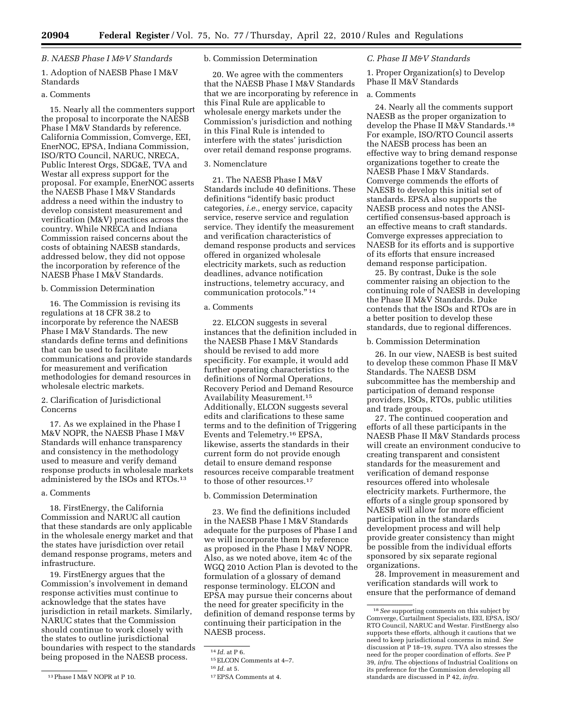### *B. NAESB Phase I M&V Standards*

# 1. Adoption of NAESB Phase I M&V Standards

# a. Comments

15. Nearly all the commenters support the proposal to incorporate the NAESB Phase I M&V Standards by reference. California Commission, Comverge, EEI, EnerNOC, EPSA, Indiana Commission, ISO/RTO Council, NARUC, NRECA, Public Interest Orgs, SDG&E, TVA and Westar all express support for the proposal. For example, EnerNOC asserts the NAESB Phase I M&V Standards address a need within the industry to develop consistent measurement and verification (M&V) practices across the country. While NRECA and Indiana Commission raised concerns about the costs of obtaining NAESB standards, addressed below, they did not oppose the incorporation by reference of the NAESB Phase I M&V Standards.

# b. Commission Determination

16. The Commission is revising its regulations at 18 CFR 38.2 to incorporate by reference the NAESB Phase I M&V Standards. The new standards define terms and definitions that can be used to facilitate communications and provide standards for measurement and verification methodologies for demand resources in wholesale electric markets.

## 2. Clarification of Jurisdictional Concerns

17. As we explained in the Phase I M&V NOPR, the NAESB Phase I M&V Standards will enhance transparency and consistency in the methodology used to measure and verify demand response products in wholesale markets administered by the ISOs and RTOs.13

### a. Comments

18. FirstEnergy, the California Commission and NARUC all caution that these standards are only applicable in the wholesale energy market and that the states have jurisdiction over retail demand response programs, meters and infrastructure.

19. FirstEnergy argues that the Commission's involvement in demand response activities must continue to acknowledge that the states have jurisdiction in retail markets. Similarly, NARUC states that the Commission should continue to work closely with the states to outline jurisdictional boundaries with respect to the standards being proposed in the NAESB process.

13Phase I M&V NOPR at P 10.

### b. Commission Determination

20. We agree with the commenters that the NAESB Phase I M&V Standards that we are incorporating by reference in this Final Rule are applicable to wholesale energy markets under the Commission's jurisdiction and nothing in this Final Rule is intended to interfere with the states' jurisdiction over retail demand response programs.

### 3. Nomenclature

21. The NAESB Phase I M&V Standards include 40 definitions. These definitions ''identify basic product categories, *i.e.,* energy service, capacity service, reserve service and regulation service. They identify the measurement and verification characteristics of demand response products and services offered in organized wholesale electricity markets, such as reduction deadlines, advance notification instructions, telemetry accuracy, and communication protocols.'' 14

# a. Comments

22. ELCON suggests in several instances that the definition included in the NAESB Phase I M&V Standards should be revised to add more specificity. For example, it would add further operating characteristics to the definitions of Normal Operations, Recovery Period and Demand Resource Availability Measurement.15 Additionally, ELCON suggests several edits and clarifications to these same terms and to the definition of Triggering Events and Telemetry.16 EPSA, likewise, asserts the standards in their current form do not provide enough detail to ensure demand response resources receive comparable treatment to those of other resources.<sup>17</sup>

# b. Commission Determination

23. We find the definitions included in the NAESB Phase I M&V Standards adequate for the purposes of Phase I and we will incorporate them by reference as proposed in the Phase I M&V NOPR. Also, as we noted above, item 4c of the WGQ 2010 Action Plan is devoted to the formulation of a glossary of demand response terminology. ELCON and EPSA may pursue their concerns about the need for greater specificity in the definition of demand response terms by continuing their participation in the NAESB process.

#### *C. Phase II M&V Standards*

1. Proper Organization(s) to Develop Phase II M&V Standards

### a. Comments

24. Nearly all the comments support NAESB as the proper organization to develop the Phase II M&V Standards.18 For example, ISO/RTO Council asserts the NAESB process has been an effective way to bring demand response organizations together to create the NAESB Phase I M&V Standards. Comverge commends the efforts of NAESB to develop this initial set of standards. EPSA also supports the NAESB process and notes the ANSIcertified consensus-based approach is an effective means to craft standards. Comverge expresses appreciation to NAESB for its efforts and is supportive of its efforts that ensure increased demand response participation.

25. By contrast, Duke is the sole commenter raising an objection to the continuing role of NAESB in developing the Phase II M&V Standards. Duke contends that the ISOs and RTOs are in a better position to develop these standards, due to regional differences.

#### b. Commission Determination

26. In our view, NAESB is best suited to develop these common Phase II M&V Standards. The NAESB DSM subcommittee has the membership and participation of demand response providers, ISOs, RTOs, public utilities and trade groups.

27. The continued cooperation and efforts of all these participants in the NAESB Phase II M&V Standards process will create an environment conducive to creating transparent and consistent standards for the measurement and verification of demand response resources offered into wholesale electricity markets. Furthermore, the efforts of a single group sponsored by NAESB will allow for more efficient participation in the standards development process and will help provide greater consistency than might be possible from the individual efforts sponsored by six separate regional organizations.

28. Improvement in measurement and verification standards will work to ensure that the performance of demand

<sup>14</sup> *Id.* at P 6.

<sup>15</sup>ELCON Comments at 4–7.

<sup>16</sup> *Id.* at 5.

<sup>17</sup>EPSA Comments at 4.

<sup>18</sup>*See* supporting comments on this subject by Comverge, Curtailment Specialists, EEI, EPSA, ISO/ RTO Council, NARUC and Westar. FirstEnergy also supports these efforts, although it cautions that we need to keep jurisdictional concerns in mind. *See*  discussion at P 18–19, *supra.* TVA also stresses the need for the proper coordination of efforts. *See* P 39, *infra.* The objections of Industrial Coalitions on its preference for the Commission developing all standards are discussed in P 42, *infra.*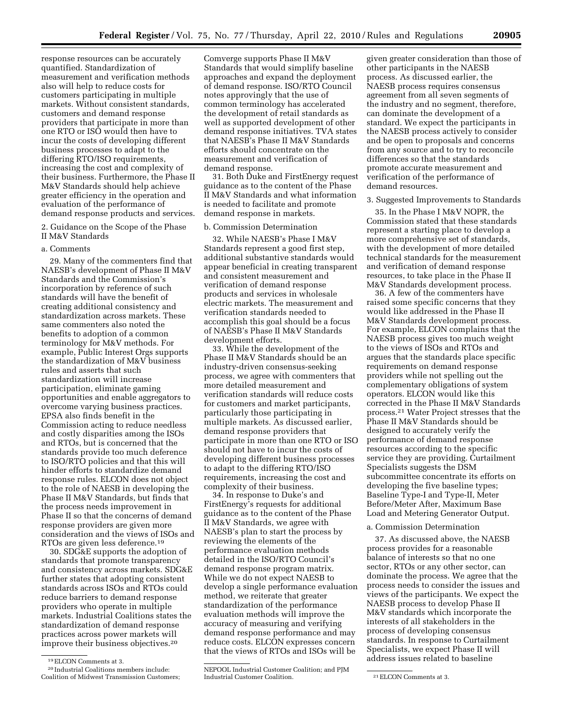response resources can be accurately quantified. Standardization of measurement and verification methods also will help to reduce costs for customers participating in multiple markets. Without consistent standards, customers and demand response providers that participate in more than one RTO or ISO would then have to incur the costs of developing different business processes to adapt to the differing RTO/ISO requirements, increasing the cost and complexity of their business. Furthermore, the Phase II M&V Standards should help achieve greater efficiency in the operation and evaluation of the performance of demand response products and services.

2. Guidance on the Scope of the Phase II M&V Standards

#### a. Comments

29. Many of the commenters find that NAESB's development of Phase II M&V Standards and the Commission's incorporation by reference of such standards will have the benefit of creating additional consistency and standardization across markets. These same commenters also noted the benefits to adoption of a common terminology for M&V methods. For example, Public Interest Orgs supports the standardization of M&V business rules and asserts that such standardization will increase participation, eliminate gaming opportunities and enable aggregators to overcome varying business practices. EPSA also finds benefit in the Commission acting to reduce needless and costly disparities among the ISOs and RTOs, but is concerned that the standards provide too much deference to ISO/RTO policies and that this will hinder efforts to standardize demand response rules. ELCON does not object to the role of NAESB in developing the Phase II M&V Standards, but finds that the process needs improvement in Phase II so that the concerns of demand response providers are given more consideration and the views of ISOs and RTOs are given less deference.19

30. SDG&E supports the adoption of standards that promote transparency and consistency across markets. SDG&E further states that adopting consistent standards across ISOs and RTOs could reduce barriers to demand response providers who operate in multiple markets. Industrial Coalitions states the standardization of demand response practices across power markets will improve their business objectives.20

Comverge supports Phase II M&V Standards that would simplify baseline approaches and expand the deployment of demand response. ISO/RTO Council notes approvingly that the use of common terminology has accelerated the development of retail standards as well as supported development of other demand response initiatives. TVA states that NAESB's Phase II M&V Standards efforts should concentrate on the measurement and verification of demand response.

31. Both Duke and FirstEnergy request guidance as to the content of the Phase II M&V Standards and what information is needed to facilitate and promote demand response in markets.

# b. Commission Determination

32. While NAESB's Phase I M&V Standards represent a good first step, additional substantive standards would appear beneficial in creating transparent and consistent measurement and verification of demand response products and services in wholesale electric markets. The measurement and verification standards needed to accomplish this goal should be a focus of NAESB's Phase II M&V Standards development efforts.

33. While the development of the Phase II M&V Standards should be an industry-driven consensus-seeking process, we agree with commenters that more detailed measurement and verification standards will reduce costs for customers and market participants, particularly those participating in multiple markets. As discussed earlier, demand response providers that participate in more than one RTO or ISO should not have to incur the costs of developing different business processes to adapt to the differing RTO/ISO requirements, increasing the cost and complexity of their business.

34. In response to Duke's and FirstEnergy's requests for additional guidance as to the content of the Phase II M&V Standards, we agree with NAESB's plan to start the process by reviewing the elements of the performance evaluation methods detailed in the ISO/RTO Council's demand response program matrix. While we do not expect NAESB to develop a single performance evaluation method, we reiterate that greater standardization of the performance evaluation methods will improve the accuracy of measuring and verifying demand response performance and may reduce costs. ELCON expresses concern that the views of RTOs and ISOs will be

given greater consideration than those of other participants in the NAESB process. As discussed earlier, the NAESB process requires consensus agreement from all seven segments of the industry and no segment, therefore, can dominate the development of a standard. We expect the participants in the NAESB process actively to consider and be open to proposals and concerns from any source and to try to reconcile differences so that the standards promote accurate measurement and verification of the performance of demand resources.

#### 3. Suggested Improvements to Standards

35. In the Phase I M&V NOPR, the Commission stated that these standards represent a starting place to develop a more comprehensive set of standards, with the development of more detailed technical standards for the measurement and verification of demand response resources, to take place in the Phase II M&V Standards development process.

36. A few of the commenters have raised some specific concerns that they would like addressed in the Phase II M&V Standards development process. For example, ELCON complains that the NAESB process gives too much weight to the views of ISOs and RTOs and argues that the standards place specific requirements on demand response providers while not spelling out the complementary obligations of system operators. ELCON would like this corrected in the Phase II M&V Standards process.21 Water Project stresses that the Phase II M&V Standards should be designed to accurately verify the performance of demand response resources according to the specific service they are providing. Curtailment Specialists suggests the DSM subcommittee concentrate its efforts on developing the five baseline types; Baseline Type-I and Type-II, Meter Before/Meter After, Maximum Base Load and Metering Generator Output.

# a. Commission Determination

37. As discussed above, the NAESB process provides for a reasonable balance of interests so that no one sector, RTOs or any other sector, can dominate the process. We agree that the process needs to consider the issues and views of the participants. We expect the NAESB process to develop Phase II M&V standards which incorporate the interests of all stakeholders in the process of developing consensus standards. In response to Curtailment Specialists, we expect Phase II will address issues related to baseline

<sup>19</sup>ELCON Comments at 3.

<sup>20</sup> Industrial Coalitions members include: Coalition of Midwest Transmission Customers;

NEPOOL Industrial Customer Coalition; and PJM Industrial Customer Coalition. 21 ELCON Comments at 3.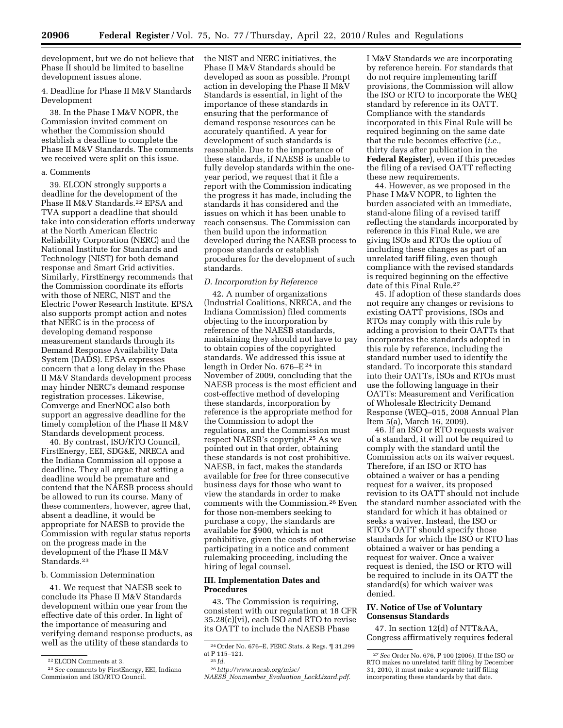development, but we do not believe that Phase II should be limited to baseline development issues alone.

### 4. Deadline for Phase II M&V Standards Development

38. In the Phase I M&V NOPR, the Commission invited comment on whether the Commission should establish a deadline to complete the Phase II M&V Standards. The comments we received were split on this issue.

#### a. Comments

39. ELCON strongly supports a deadline for the development of the Phase II M&V Standards.22 EPSA and TVA support a deadline that should take into consideration efforts underway at the North American Electric Reliability Corporation (NERC) and the National Institute for Standards and Technology (NIST) for both demand response and Smart Grid activities. Similarly, FirstEnergy recommends that the Commission coordinate its efforts with those of NERC, NIST and the Electric Power Research Institute. EPSA also supports prompt action and notes that NERC is in the process of developing demand response measurement standards through its Demand Response Availability Data System (DADS). EPSA expresses concern that a long delay in the Phase II M&V Standards development process may hinder NERC's demand response registration processes. Likewise, Comverge and EnerNOC also both support an aggressive deadline for the timely completion of the Phase II M&V Standards development process.

40. By contrast, ISO/RTO Council, FirstEnergy, EEI, SDG&E, NRECA and the Indiana Commission all oppose a deadline. They all argue that setting a deadline would be premature and contend that the NAESB process should be allowed to run its course. Many of these commenters, however, agree that, absent a deadline, it would be appropriate for NAESB to provide the Commission with regular status reports on the progress made in the development of the Phase II M&V Standards.<sup>23</sup>

# b. Commission Determination

41. We request that NAESB seek to conclude its Phase II M&V Standards development within one year from the effective date of this order. In light of the importance of measuring and verifying demand response products, as well as the utility of these standards to

the NIST and NERC initiatives, the Phase II M&V Standards should be developed as soon as possible. Prompt action in developing the Phase II M&V Standards is essential, in light of the importance of these standards in ensuring that the performance of demand response resources can be accurately quantified. A year for development of such standards is reasonable. Due to the importance of these standards, if NAESB is unable to fully develop standards within the oneyear period, we request that it file a report with the Commission indicating the progress it has made, including the standards it has considered and the issues on which it has been unable to reach consensus. The Commission can then build upon the information developed during the NAESB process to propose standards or establish procedures for the development of such standards.

## *D. Incorporation by Reference*

42. A number of organizations (Industrial Coalitions, NRECA, and the Indiana Commission) filed comments objecting to the incorporation by reference of the NAESB standards, maintaining they should not have to pay to obtain copies of the copyrighted standards. We addressed this issue at length in Order No. 676–E 24 in November of 2009, concluding that the NAESB process is the most efficient and cost-effective method of developing these standards, incorporation by reference is the appropriate method for the Commission to adopt the regulations, and the Commission must respect NAESB's copyright.25 As we pointed out in that order, obtaining these standards is not cost prohibitive. NAESB, in fact, makes the standards available for free for three consecutive business days for those who want to view the standards in order to make comments with the Commission.26 Even for those non-members seeking to purchase a copy, the standards are available for \$900, which is not prohibitive, given the costs of otherwise participating in a notice and comment rulemaking proceeding, including the hiring of legal counsel.

#### **III. Implementation Dates and Procedures**

43. The Commission is requiring, consistent with our regulation at 18 CFR 35.28(c)(vi), each ISO and RTO to revise its OATT to include the NAESB Phase

I M&V Standards we are incorporating by reference herein. For standards that do not require implementing tariff provisions, the Commission will allow the ISO or RTO to incorporate the WEQ standard by reference in its OATT. Compliance with the standards incorporated in this Final Rule will be required beginning on the same date that the rule becomes effective (*i.e.,*  thirty days after publication in the **Federal Register**), even if this precedes the filing of a revised OATT reflecting these new requirements.

44. However, as we proposed in the Phase I M&V NOPR, to lighten the burden associated with an immediate, stand-alone filing of a revised tariff reflecting the standards incorporated by reference in this Final Rule, we are giving ISOs and RTOs the option of including these changes as part of an unrelated tariff filing, even though compliance with the revised standards is required beginning on the effective date of this Final Rule.27

45. If adoption of these standards does not require any changes or revisions to existing OATT provisions, ISOs and RTOs may comply with this rule by adding a provision to their OATTs that incorporates the standards adopted in this rule by reference, including the standard number used to identify the standard. To incorporate this standard into their OATTs, ISOs and RTOs must use the following language in their OATTs: Measurement and Verification of Wholesale Electricity Demand Response (WEQ–015, 2008 Annual Plan Item 5(a), March 16, 2009).

46. If an ISO or RTO requests waiver of a standard, it will not be required to comply with the standard until the Commission acts on its waiver request. Therefore, if an ISO or RTO has obtained a waiver or has a pending request for a waiver, its proposed revision to its OATT should not include the standard number associated with the standard for which it has obtained or seeks a waiver. Instead, the ISO or RTO's OATT should specify those standards for which the ISO or RTO has obtained a waiver or has pending a request for waiver. Once a waiver request is denied, the ISO or RTO will be required to include in its OATT the standard(s) for which waiver was denied.

## **IV. Notice of Use of Voluntary Consensus Standards**

47. In section 12(d) of NTT&AA, Congress affirmatively requires federal

<sup>22</sup>ELCON Comments at 3.

<sup>23</sup>*See* comments by FirstEnergy, EEI, Indiana Commission and ISO/RTO Council.

<sup>24</sup>Order No. 676–E, FERC Stats. & Regs. ¶ 31,299 at P 115–121. 25 *Id.* 

<sup>26</sup>*http://www.naesb.org/misc/* 

*NAESB*\_*Nonmember*\_*Evaluation*\_*LockLizard.pdf.* 

<sup>27</sup>*See* Order No. 676, P 100 (2006). If the ISO or RTO makes no unrelated tariff filing by December 31, 2010, it must make a separate tariff filing incorporating these standards by that date.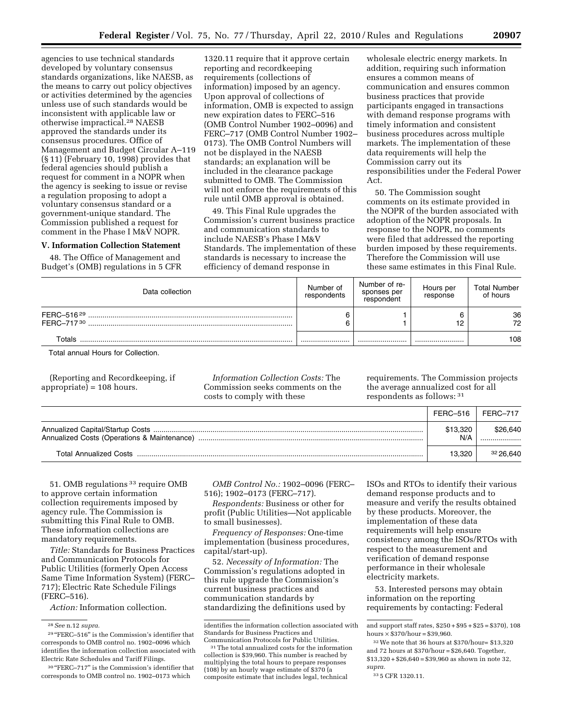agencies to use technical standards developed by voluntary consensus standards organizations, like NAESB, as the means to carry out policy objectives or activities determined by the agencies unless use of such standards would be inconsistent with applicable law or otherwise impractical.28 NAESB approved the standards under its consensus procedures. Office of Management and Budget Circular A–119 (§ 11) (February 10, 1998) provides that federal agencies should publish a request for comment in a NOPR when the agency is seeking to issue or revise a regulation proposing to adopt a voluntary consensus standard or a government-unique standard. The Commission published a request for comment in the Phase I M&V NOPR.

# **V. Information Collection Statement**

48. The Office of Management and Budget's (OMB) regulations in 5 CFR 1320.11 require that it approve certain reporting and recordkeeping requirements (collections of information) imposed by an agency. Upon approval of collections of information, OMB is expected to assign new expiration dates to FERC–516 (OMB Control Number 1902–0096) and FERC–717 (OMB Control Number 1902– 0173). The OMB Control Numbers will not be displayed in the NAESB standards; an explanation will be included in the clearance package submitted to OMB. The Commission will not enforce the requirements of this rule until OMB approval is obtained.

49. This Final Rule upgrades the Commission's current business practice and communication standards to include NAESB's Phase I M&V Standards. The implementation of these standards is necessary to increase the efficiency of demand response in

wholesale electric energy markets. In addition, requiring such information ensures a common means of communication and ensures common business practices that provide participants engaged in transactions with demand response programs with timely information and consistent business procedures across multiple markets. The implementation of these data requirements will help the Commission carry out its responsibilities under the Federal Power Act.

50. The Commission sought comments on its estimate provided in the NOPR of the burden associated with adoption of the NOPR proposals. In response to the NOPR, no comments were filed that addressed the reporting burden imposed by these requirements. Therefore the Commission will use these same estimates in this Final Rule.

| Data collection | Number of<br>respondents | Number of re-<br>sponses per<br>respondent | Hours per<br>response | <b>Total Number</b><br>of hours |
|-----------------|--------------------------|--------------------------------------------|-----------------------|---------------------------------|
| FFRC-51629      |                          |                                            |                       | 36<br>72                        |
| Totals          |                          |                                            |                       | 108                             |

Total annual Hours for Collection.

(Reporting and Recordkeeping, if appropriate) = 108 hours.

*Information Collection Costs:* The Commission seeks comments on the costs to comply with these

requirements. The Commission projects the average annualized cost for all respondents as follows: 31

|                                             | FERC-516        | $FFRC-717$ |
|---------------------------------------------|-----------------|------------|
| Annualized Costs (Operations & Maintenance) | \$13,320<br>N/A | \$26,640   |
| <b>Total Annualized Costs</b>               | 13.320          | 32 26.640  |

51. OMB regulations 33 require OMB to approve certain information collection requirements imposed by agency rule. The Commission is submitting this Final Rule to OMB. These information collections are mandatory requirements.

*Title:* Standards for Business Practices and Communication Protocols for Public Utilities (formerly Open Access Same Time Information System) (FERC– 717); Electric Rate Schedule Filings (FERC–516).

*Action:* Information collection.

*OMB Control No.:* 1902–0096 (FERC– 516); 1902–0173 (FERC–717).

*Respondents:* Business or other for profit (Public Utilities—Not applicable to small businesses).

*Frequency of Responses:* One-time implementation (business procedures, capital/start-up).

52. *Necessity of Information:* The Commission's regulations adopted in this rule upgrade the Commission's current business practices and communication standards by standardizing the definitions used by ISOs and RTOs to identify their various demand response products and to measure and verify the results obtained by these products. Moreover, the implementation of these data requirements will help ensure consistency among the ISOs/RTOs with respect to the measurement and verification of demand response performance in their wholesale electricity markets.

53. Interested persons may obtain information on the reporting requirements by contacting: Federal

<sup>28</sup>*See* n.12 *supra.* 

 $^{\rm 29\,^{\rm o}}\rm FERC\text{--}516"$  is the Commission's identifier that corresponds to OMB control no. 1902–0096 which identifies the information collection associated with Electric Rate Schedules and Tariff Filings.

<sup>&</sup>lt;sup>30</sup> "FERC-717" is the Commission's identifier that corresponds to OMB control no. 1902–0173 which

identifies the information collection associated with Standards for Business Practices and

 $^{\rm 31}$  The total annualized costs for the information collection is \$39,960. This number is reached by multiplying the total hours to prepare responses (108) by an hourly wage estimate of \$370 (a composite estimate that includes legal, technical

and support staff rates, \$250 + \$95 + \$25 = \$370), 108 hours  $\times$  \$370/hour = \$39,960.

<sup>32</sup>We note that 36 hours at \$370/hour= \$13,320 and 72 hours at \$370/hour = \$26,640. Together, \$13,320 + \$26,640 = \$39,960 as shown in note 32, *supra.* 

<sup>33</sup> 5 CFR 1320.11.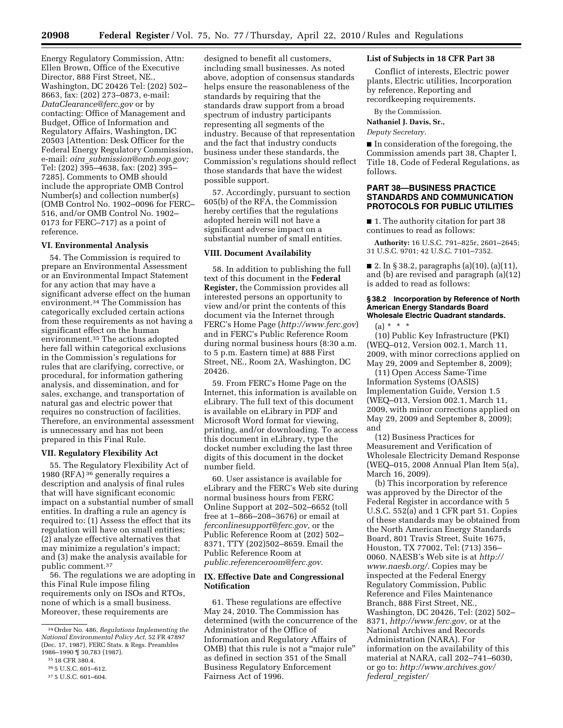Energy Regulatory Commission, Attn: Ellen Brown, Office of the Executive Director, 888 First Street, NE., Washington, DC 20426 Tel: (202) 502– 8663, fax: (202) 273–0873, e-mail: *DataClearance@ferc.gov* or by contacting: Office of Management and Budget, Office of Information and Regulatory Affairs, Washington, DC 20503 [Attention: Desk Officer for the Federal Energy Regulatory Commission, e-mail: *oira*\_*submission@omb.eop.gov;*  Tel: (202) 395–4638, fax: (202) 395– 7285]. Comments to OMB should include the appropriate OMB Control Number(s) and collection number(s) (OMB Control No. 1902–0096 for FERC– 516, and/or OMB Control No. 1902– 0173 for FERC–717) as a point of reference.

### **VI. Environmental Analysis**

54. The Commission is required to prepare an Environmental Assessment or an Environmental Impact Statement for any action that may have a significant adverse effect on the human environment.34 The Commission has categorically excluded certain actions from these requirements as not having a significant effect on the human environment.35 The actions adopted here fall within categorical exclusions in the Commission's regulations for rules that are clarifying, corrective, or procedural, for information gathering analysis, and dissemination, and for sales, exchange, and transportation of natural gas and electric power that requires no construction of facilities. Therefore, an environmental assessment is unnecessary and has not been prepared in this Final Rule.

#### **VII. Regulatory Flexibility Act**

55. The Regulatory Flexibility Act of 1980 (RFA) 36 generally requires a description and analysis of final rules that will have significant economic impact on a substantial number of small entities. In drafting a rule an agency is required to: (1) Assess the effect that its regulation will have on small entities; (2) analyze effective alternatives that may minimize a regulation's impact; and (3) make the analysis available for public comment.37

56. The regulations we are adopting in this Final Rule impose filing requirements only on ISOs and RTOs, none of which is a small business. Moreover, these requirements are

designed to benefit all customers, including small businesses. As noted above, adoption of consensus standards helps ensure the reasonableness of the standards by requiring that the standards draw support from a broad spectrum of industry participants representing all segments of the industry. Because of that representation and the fact that industry conducts business under these standards, the Commission's regulations should reflect those standards that have the widest possible support.

57. Accordingly, pursuant to section 605(b) of the RFA, the Commission hereby certifies that the regulations adopted herein will not have a significant adverse impact on a substantial number of small entities.

# **VIII. Document Availability**

58. In addition to publishing the full text of this document in the **Federal Register,** the Commission provides all interested persons an opportunity to view and/or print the contents of this document via the Internet through FERC's Home Page (*http://www.ferc.gov*) and in FERC's Public Reference Room during normal business hours (8:30 a.m. to 5 p.m. Eastern time) at 888 First Street, NE., Room 2A, Washington, DC 20426.

59. From FERC's Home Page on the Internet, this information is available on eLibrary. The full text of this document is available on eLibrary in PDF and Microsoft Word format for viewing, printing, and/or downloading. To access this document in eLibrary, type the docket number excluding the last three digits of this document in the docket number field.

60. User assistance is available for eLibrary and the FERC's Web site during normal business hours from FERC Online Support at 202–502–6652 (toll free at 1–866–208–3676) or email at *ferconlinesupport@ferc.gov,* or the Public Reference Room at (202) 502– 8371, TTY (202)502–8659. Email the Public Reference Room at *public.referenceroom@ferc.gov.* 

### **IX. Effective Date and Congressional Notification**

61. These regulations are effective May 24, 2010. The Commission has determined (with the concurrence of the Administrator of the Office of Information and Regulatory Affairs of OMB) that this rule is not a ''major rule'' as defined in section 351 of the Small Business Regulatory Enforcement Fairness Act of 1996.

### **List of Subjects in 18 CFR Part 38**

Conflict of interests, Electric power plants, Electric utilities, Incorporation by reference, Reporting and recordkeeping requirements.

By the Commission. **Nathaniel J. Davis, Sr.,** 

# *Deputy Secretary.*

■ In consideration of the foregoing, the Commission amends part 38, Chapter I, Title 18, Code of Federal Regulations, as follows.

# **PART 38—BUSINESS PRACTICE STANDARDS AND COMMUNICATION PROTOCOLS FOR PUBLIC UTILITIES**

■ 1. The authority citation for part 38 continues to read as follows:

**Authority:** 16 U.S.C. 791–825r, 2601–2645; 31 U.S.C. 9701; 42 U.S.C. 7101–7352.

■ 2. In § 38.2, paragraphs (a)(10), (a)(11), and (b) are revised and paragraph (a)(12) is added to read as follows:

#### **§ 38.2 Incorporation by Reference of North American Energy Standards Board Wholesale Electric Quadrant standards.**

(a) \* \* \*

(10) Public Key Infrastructure (PKI) (WEQ–012, Version 002.1, March 11, 2009, with minor corrections applied on May 29, 2009 and September 8, 2009);

(11) Open Access Same-Time Information Systems (OASIS) Implementation Guide, Version 1.5 (WEQ–013, Version 002.1, March 11, 2009, with minor corrections applied on May 29, 2009 and September 8, 2009); and

(12) Business Practices for Measurement and Verification of Wholesale Electricity Demand Response (WEQ–015, 2008 Annual Plan Item 5(a), March 16, 2009).

(b) This incorporation by reference was approved by the Director of the Federal Register in accordance with 5 U.S.C. 552(a) and 1 CFR part 51. Copies of these standards may be obtained from the North American Energy Standards Board, 801 Travis Street, Suite 1675, Houston, TX 77002, Tel: (713) 356– 0060. NAESB's Web site is at *http:// www.naesb.org/.* Copies may be inspected at the Federal Energy Regulatory Commission, Public Reference and Files Maintenance Branch, 888 First Street, NE., Washington, DC 20426, Tel: (202) 502– 8371, *http://www.ferc.gov,* or at the National Archives and Records Administration (NARA). For information on the availability of this material at NARA, call 202–741–6030, or go to: *http://www.archives.gov/ federal*\_*register/* 

<sup>34</sup>Order No. 486, *Regulations Implementing the National Environmental Policy Act,* 52 FR 47897 (Dec. 17, 1987), FERC Stats. & Regs. Preambles 1986–1990 ¶ 30,783 (1987).

<sup>35</sup> 18 CFR 380.4.

<sup>36</sup> 5 U.S.C. 601–612.

<sup>37</sup> 5 U.S.C. 601–604.